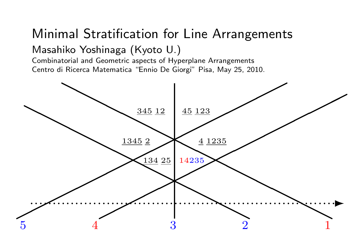#### Minimal Stratification for Line Arrangements Masahiko Yoshinaga (Kyoto U.)

Combinatorial and Geometric aspects of Hyperplane Arrangements Centro di Ricerca Matematica "Ennio De Giorgi" Pisa, May 25, 2010.

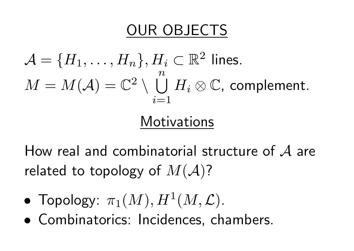#### OUR OBJECTS

$$
\mathcal{A} = \{H_1, \ldots, H_n\}, H_i \subset \mathbb{R}^2 \text{ lines.}
$$
  

$$
M = M(\mathcal{A}) = \mathbb{C}^2 \setminus \bigcup_{i=1}^n H_i \otimes \mathbb{C}, \text{ complement.}
$$

#### **Motivations**

How real and combinatorial structure of *A* are related to topology of *M*(*A*)?

- $\bullet$  Topology:  $\pi_1(M), H^1(M, \mathcal{L})$ .
- *•* Combinatorics: Incidences, chambers.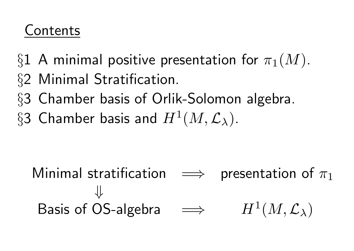#### **Contents**

- *§*1 A minimal positive presentation for *π*1(*M*).
- *§*2 Minimal Stratification.
- *§*3 Chamber basis of Orlik-Solomon algebra.
- $\S 3$  Chamber basis and  $H^1(M, \mathcal{L}_\lambda)$ .

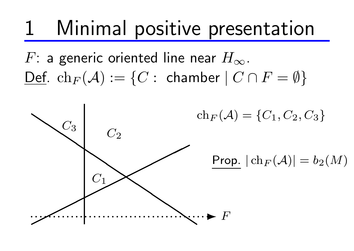*F*: a generic oriented line near *H∞*.  $\Delta$   $\text{Def.}$   $\text{ch}_F(A) := \{C : \text{chamber} \mid C \cap F = \emptyset\}$ 

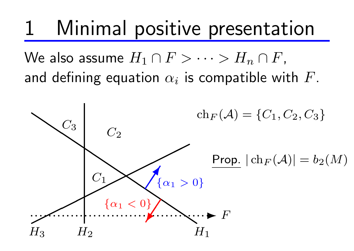$\mathsf{W\!e}$  also assume  $H_1 \cap F > \cdots > H_n \cap F$ , and defining equation  $\alpha_i$  is compatible with  $F$ .

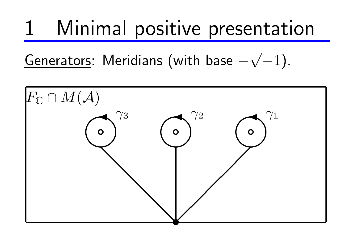Generators: Meridians (with base *− √ −*1).

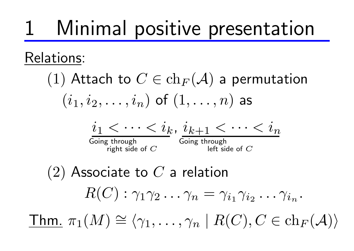#### Relations:

(1) Attach to 
$$
C \in \text{ch}_F(\mathcal{A})
$$
 a permutation  $(i_1, i_2, \ldots, i_n)$  of  $(1, \ldots, n)$  as

$$
i_1 < \cdots < i_k, i_{k+1} < \cdots < i_n
$$

Going through right side of *C*

Going through left side of *C*

(2) Associate to *C* a relation  $R(C):\gamma_1\gamma_2\ldots\gamma_n=\gamma_{i_1}\gamma_{i_2}\ldots\gamma_{i_n}.$  $\mathsf{Thm}$ .  $\pi_1(M)$ *∼*  $\cong \langle \gamma_1, \ldots, \gamma_n \mid R(C), C \in \ch_F(\mathcal{A}) \rangle$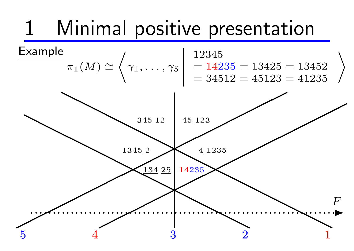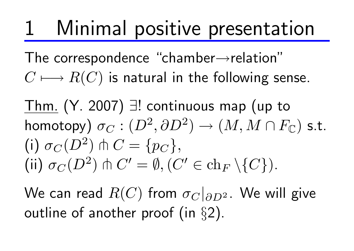The correspondence "chamber*→*relation"  $C \longmapsto R(C)$  is natural in the following sense.

Thm. (Y. 2007) *∃*! continuous map (up to  $\mathsf{homotopy}\big) \ \sigma_{C} : (D^2, \partial D^2) \to (M, M \cap F_\mathbb{C}) \ \mathsf{s.t.}$ (i)  $\sigma_C(D^2) \pitchfork C = \{p_C\},\$  $(C' \in \text{ch}_F \setminus \{C\})$ .

We can read  $R(C)$  from  $\sigma_C|_{\partial D^2}.$  We will give outline of another proof (in *§*2).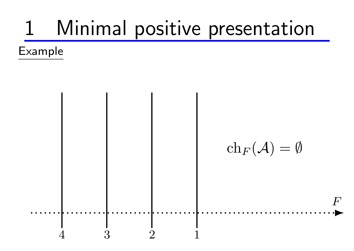Example

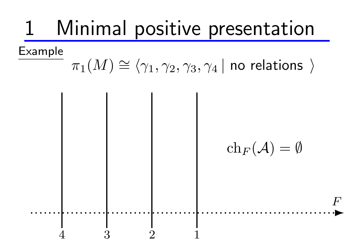Example

#### $\pi_1(M)$ *∼*  $\cong$   $\langle \gamma_1, \gamma_2, \gamma_3, \gamma_4 \, |$  no relations  $\rangle$

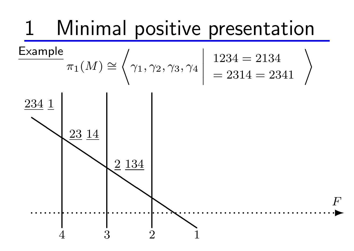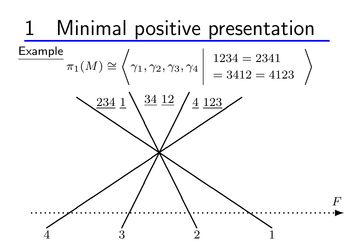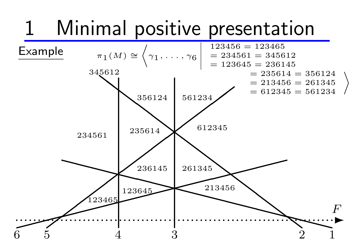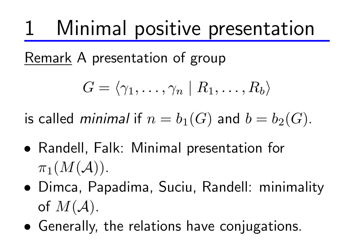Remark A presentation of group

$$
G=\langle \gamma_1,\ldots,\gamma_n\mid R_1,\ldots,R_b\rangle
$$

is called *minimal* if  $n = b_1(G)$  and  $b = b_2(G)$ .

- *•* Randell, Falk: Minimal presentation for  $\pi_1(M(\mathcal{A}))$ .
- *•* Dimca, Papadima, Suciu, Randell: minimality of  $M(A)$ .
- *•* Generally, the relations have conjugations.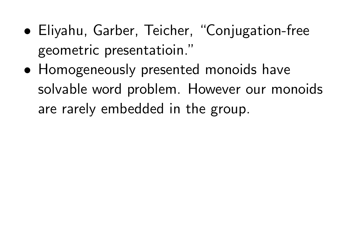- *•* Eliyahu, Garber, Teicher, "Conjugation-free geometric presentatioin."
- *•* Homogeneously presented monoids have solvable word problem. However our monoids are rarely embedded in the group.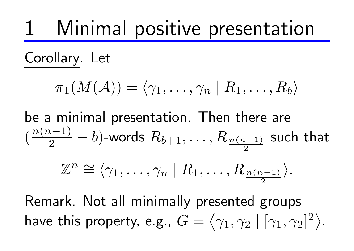Corollary. Let

$$
\pi_1(M(\mathcal{A})) = \langle \gamma_1, \ldots, \gamma_n \mid R_1, \ldots, R_b \rangle
$$

be a minimal presentation. Then there are  $\left(\right)$ *n*(*n−*1) 2 *− b*)-words *Rb*+1*, . . . , R <sup>n</sup>*(*n−*1) 2 such that

$$
\mathbb{Z}^n \cong \langle \gamma_1, \ldots, \gamma_n \mid R_1, \ldots, R_{\frac{n(n-1)}{2}} \rangle.
$$

Remark. Not all minimally presented groups have this property, e.g.,  $G=$ ⟨ *γ*1*, γ*<sup>2</sup> *|* [*γ*1*, γ*2] 2 ⟩ .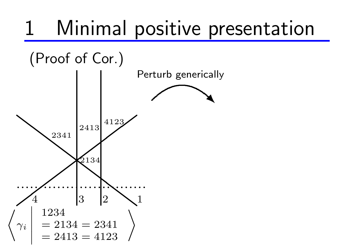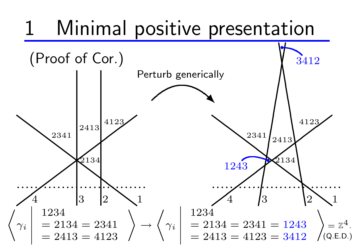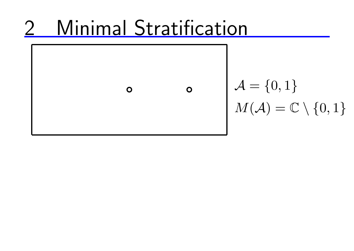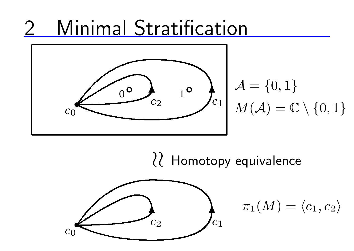

*≀≀* Homotopy equivalence



$$
\pi_1(M)=\langle c_1,c_2\rangle
$$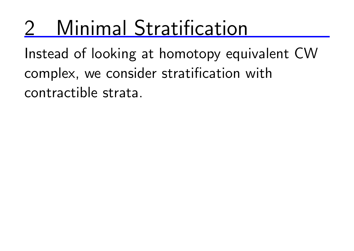Instead of looking at homotopy equivalent CW complex, we consider stratification with contractible strata.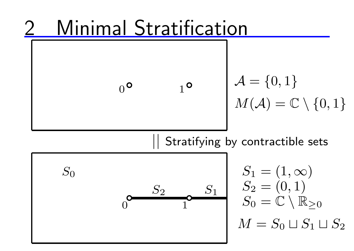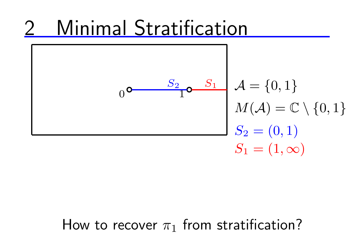

#### How to recover  $\pi_1$  from stratification?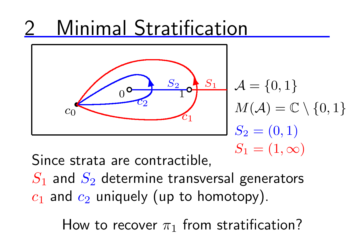

Since strata are contractible,

 $S_1$  and  $S_2$  determine transversal generators  $c_1$  and  $c_2$  uniquely (up to homotopy).

How to recover  $\pi_1$  from stratification?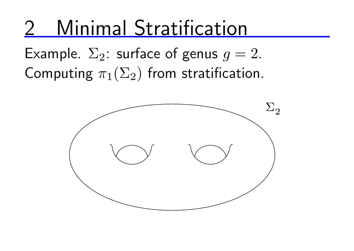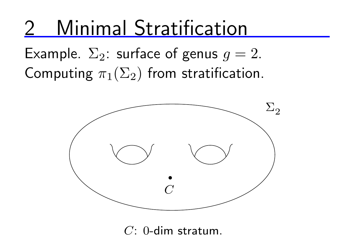Example.  $\Sigma_2$ : surface of genus  $g = 2$ . Computing  $\pi_1(\Sigma_2)$  from stratification.



*C*: 0-dim stratum.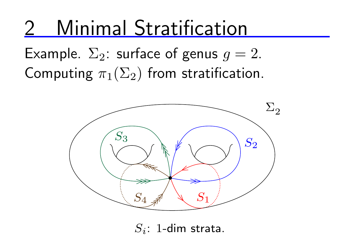Example.  $\Sigma_2$ : surface of genus  $g = 2$ . Computing  $\pi_1(\Sigma_2)$  from stratification.



*Si*: 1-dim strata.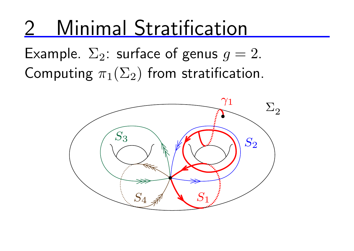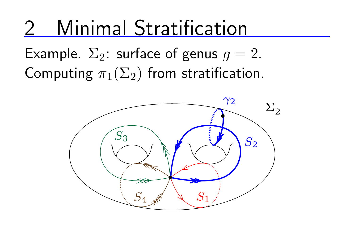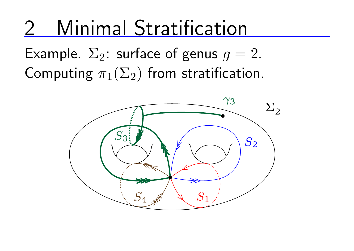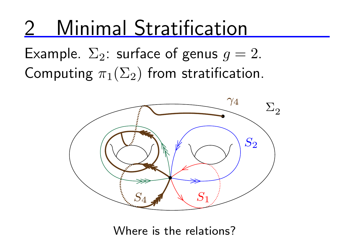Example.  $\Sigma_2$ : surface of genus  $g = 2$ . Computing  $\pi_1(\Sigma_2)$  from stratification.



Where is the relations?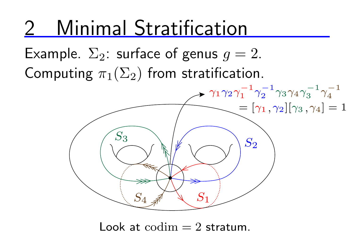Example.  $\Sigma_2$ : surface of genus  $g=2$ . Computing  $\pi_1(\Sigma_2)$  from stratification.



Look at  $\text{codim} = 2$  stratum.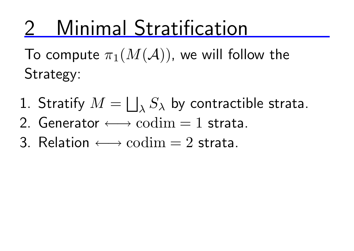To compute  $\pi_1(M(\mathcal{A}))$ , we will follow the Strategy:

- 1. Stratify  $M = \bigsqcup$ *λ S<sup>λ</sup>* by contractible strata.
- 2. Generator *←→* codim = 1 strata.
- 3. Relation *←→* codim = 2 strata.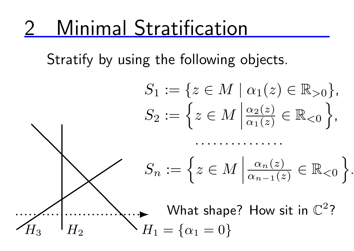Stratify by using the following objects.

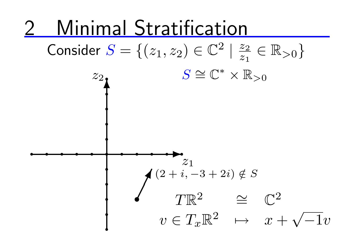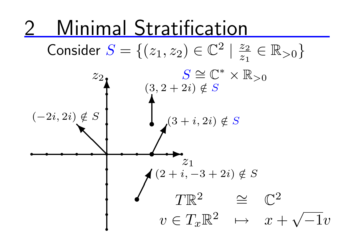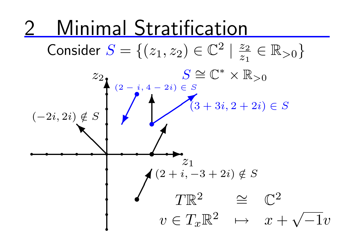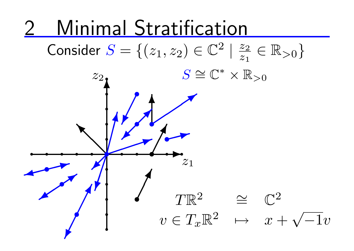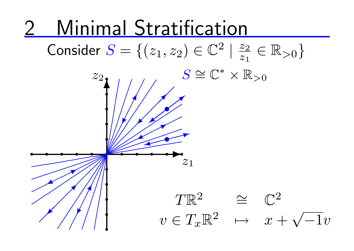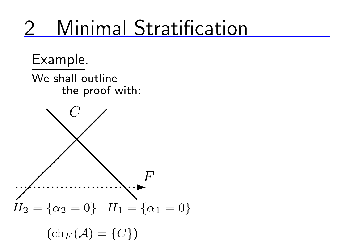Example.

We shall outline the proof with:

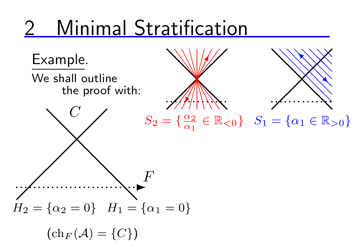$\mathscr{M}$ 

 $\sqrt{\phantom{a}}$ 

 $\sqrt{\phantom{a}}$ 

 $\mathscr{M}$ 

**W** 

❙

 $\setminus$ 

</del>

❈

*<u></u>* 

❙

 $\sqrt{}$ 

 $\frac{1}{2}$ 

**W** 

✄

✓

 $\int$ 

 $\mathbb{N}$ 

 $\mathbb N$ 

 $\mathbb N$ 

❈

 $\sqrt{\frac{1}{2}}$ 

✓  $\frac{1}{2}$ 

*∈* R*<*0 *}*

Example.

We shall outline the proof with:



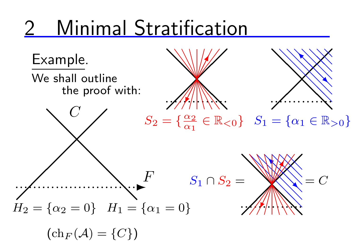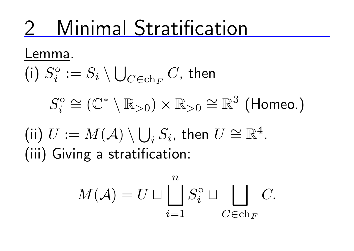Lemma.

(i) 
$$
S_i^\circ := S_i \setminus \bigcup_{C \in \text{ch}_F} C
$$
, then

$$
S_i^{\circ} \cong (\mathbb{C}^* \setminus \mathbb{R}_{>0}) \times \mathbb{R}_{>0} \cong \mathbb{R}^3
$$
 (Homeo.)

 $(iii) U := M(\mathcal{A}) \setminus \bigcup$  $i$ <sup>*Si*</sub>, then *U*</sup> *∼*  $\cong \mathbb{R}^4$ . (iii) Giving a stratification:

$$
M(\mathcal{A}) = U \sqcup \bigsqcup_{i=1}^{n} S_i^{\circ} \sqcup \bigsqcup_{C \in \text{ch}_F} C.
$$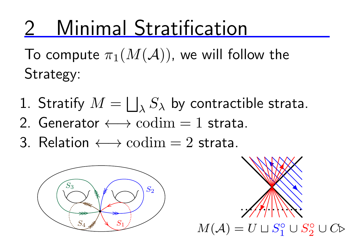To compute  $\pi_1(M(\mathcal{A}))$ , we will follow the Strategy:

- 1. Stratify  $M = \bigsqcup_{\lambda} S_{\lambda}$  by contractible strata.
- 2. Generator *←→* codim = 1 strata.
- 3. Relation *←→* codim = 2 strata.



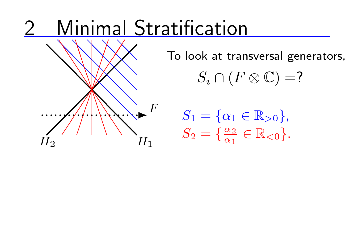

❏❏ To look at transversal generators,

 $S_i \cap (F \otimes \mathbb{C}) = ?$ 

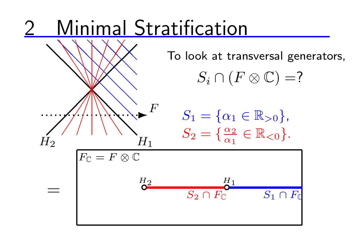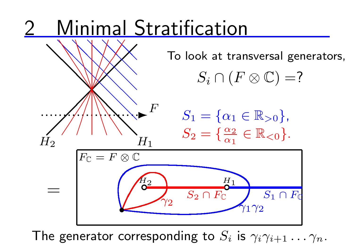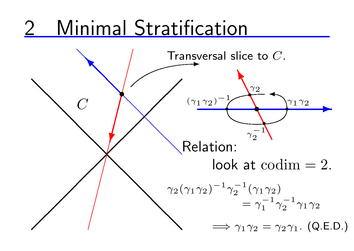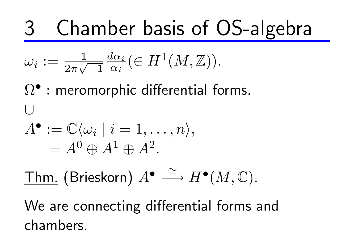$$
\omega_i := \frac{1}{2\pi\sqrt{-1}} \frac{d\alpha_i}{\alpha_i} \left( \in H^1(M, \mathbb{Z}) \right).
$$

 $Ω$ <sup>•</sup> : meromorphic differential forms. *∪*  $A^{\bullet} := \mathbb{C}\langle \omega_i \mid i = 1, \ldots, n \rangle,$  $= A^0 \oplus A^1 \oplus A^2.$ 

$$
\underline{\text{Thm. (Brieskorn) } A^{\bullet} \xrightarrow{\simeq} H^{\bullet}(M, \mathbb{C}).}
$$

We are connecting differential forms and chambers.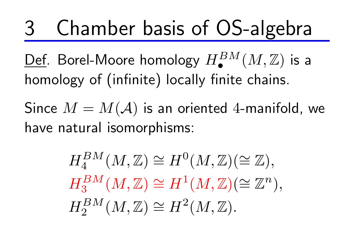Def. Borel-Moore homology *HBM •* (*M,* Z) is a homology of (infinite) locally finite chains.

Since  $M = M(\mathcal{A})$  is an oriented 4-manifold, we have natural isomorphisms:

> $H_4^{BM}(M,\mathbb{Z})$  $\cong H^0(M,\mathbb{Z})(\cong \mathbb{Z}),$  $H_3^{BM}(M,\mathbb{Z})$  $\cong H^1(M,\mathbb{Z})$  ( *∼*  $\cong \mathbb{Z}$ *n* )*,*  $H_2^{BM}(M,\mathbb{Z})$  $\cong H^2(M,\mathbb{Z}).$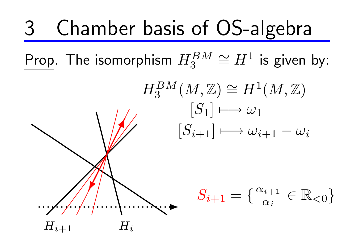Prop. The isomorphism *HBM* 3  $\cong H^1$  is given by:

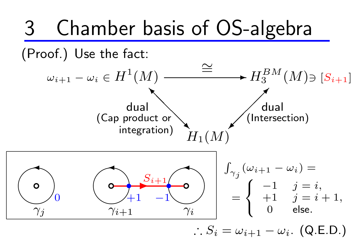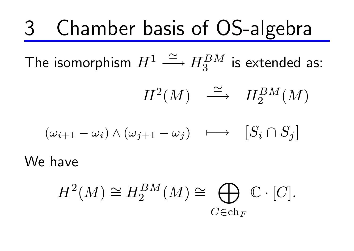The isomorphism  $H^1 \stackrel{\simeq}{\longrightarrow} H^{BM}_3$  is extended as:

$$
H^2(M) \quad \stackrel{\simeq}{\longrightarrow} \quad H_2^{BM}(M)
$$

$$
(\omega_{i+1} - \omega_i) \wedge (\omega_{j+1} - \omega_j) \longrightarrow [S_i \cap S_j]
$$

We have

$$
H^2(M) \cong H_2^{BM}(M) \cong \bigoplus_{C \in \text{ch}_F} \mathbb{C} \cdot [C].
$$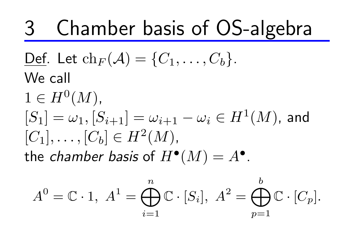$\mathbf{Def}.$  Let  $\mathrm{ch}_F(\mathcal{A}) = \{C_1, \ldots, C_b\}.$ We call  $1 \in H^{0}(M)$ ,  $[S_1] = \omega_1, [S_{i+1}] = \omega_{i+1} - \omega_i \in H^1(M)$ , and  $[C_1], \ldots, [C_b] \in H^2(M)$ , the *chamber basis* of  $H^{\bullet}(M) = A^{\bullet}$ .

$$
A^{0} = \mathbb{C} \cdot 1, \ A^{1} = \bigoplus_{i=1}^{n} \mathbb{C} \cdot [S_{i}], \ A^{2} = \bigoplus_{p=1}^{b} \mathbb{C} \cdot [C_{p}].
$$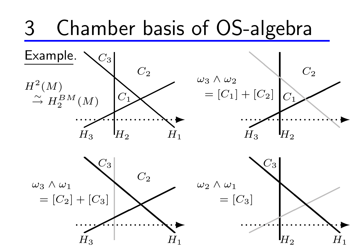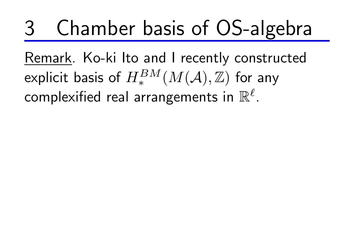Remark. Ko-ki Ito and I recently constructed explicit basis of  $H_*^{BM}(M(\mathcal{A}),\mathbb{Z})$  for any complexified real arrangements in R *ℓ* .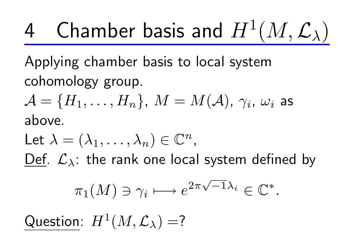Applying chamber basis to local system cohomology group.

 $\mathcal{A} = \{H_1, \ldots, H_n\}$ ,  $M = M(\mathcal{A})$ ,  $\gamma_i$ ,  $\omega_i$  as above.

Let  $\lambda = (\lambda_1, \ldots, \lambda_n) \in \mathbb{C}^n$ , Def. *Lλ*: the rank one local system defined by

$$
\pi_1(M) \ni \gamma_i \longmapsto e^{2\pi\sqrt{-1}\lambda_i} \in \mathbb{C}^*.
$$

 $\mathsf{Question:} \; H^1(M, \mathcal{L}_\lambda) = ?$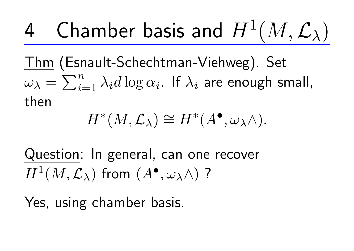Thm (Esnault-Schechtman-Viehweg). Set  $\omega_{\lambda} = \sum_{i=1}^{n}$  $\sum\limits_{i=1}^n\lambda_i d\log\alpha_i.$  If  $\lambda_i$  are enough small, then

$$
H^*(M, \mathcal{L}_\lambda) \cong H^*(A^\bullet, \omega_\lambda \wedge).
$$

Question: In general, can one recover  $H^1(M,\mathcal{L}_\lambda)$  from  $(A^\bullet,\omega_\lambda\wedge)$  ?

Yes, using chamber basis.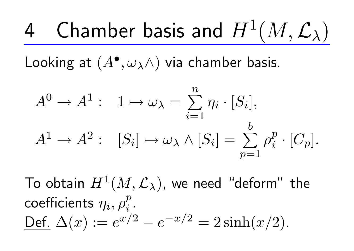Looking at  $(A^{\bullet}, \omega_{\lambda} \wedge)$  via chamber basis.

$$
A^{0} \to A^{1} : 1 \mapsto \omega_{\lambda} = \sum_{i=1}^{n} \eta_{i} \cdot [S_{i}],
$$
  

$$
A^{1} \to A^{2} : [S_{i}] \mapsto \omega_{\lambda} \wedge [S_{i}] = \sum_{p=1}^{b} \rho_{i}^{p} \cdot [C_{p}].
$$

To obtain  $H^1(M,{\mathcal L}_\lambda)$ , we need "deform" the coefficients *η<sup>i</sup> , ρ p*  $\frac{p}{i}$  .  $\Delta(x) := e^{x/2} - e^{-x/2} = 2 \sinh(x/2).$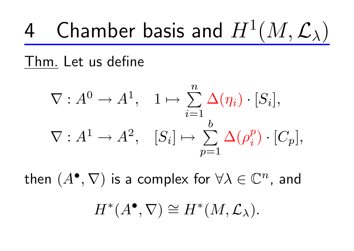#### Thm. Let us define

$$
\nabla: A^0 \to A^1, \quad 1 \mapsto \sum_{i=1}^n \Delta(\eta_i) \cdot [S_i],
$$
  

$$
\nabla: A^1 \to A^2, \quad [S_i] \mapsto \sum_{p=1}^b \Delta(\rho_i^p) \cdot [C_p],
$$

then  $(A^{\bullet}, \nabla)$  is a complex for  $\forall \lambda \in \mathbb{C}^n$ , and

$$
H^*(A^{\bullet}, \nabla) \cong H^*(M, \mathcal{L}_{\lambda}).
$$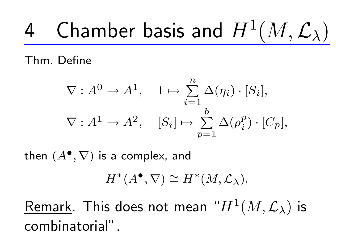Thm. Define

$$
\nabla: A^0 \to A^1, \quad 1 \mapsto \sum_{i=1}^n \Delta(\eta_i) \cdot [S_i],
$$
  

$$
\nabla: A^1 \to A^2, \quad [S_i] \mapsto \sum_{p=1}^b \Delta(\rho_i^p) \cdot [C_p],
$$

 $\mathsf{then}\,\left(A^\bullet,\nabla\right)$  is a complex, and

$$
H^*(A^{\bullet}, \nabla) \cong H^*(M, \mathcal{L}_{\lambda}).
$$

 $Remark$ . This does not mean " $H^1(M,\mathcal{L}_\lambda)$  is combinatorial".